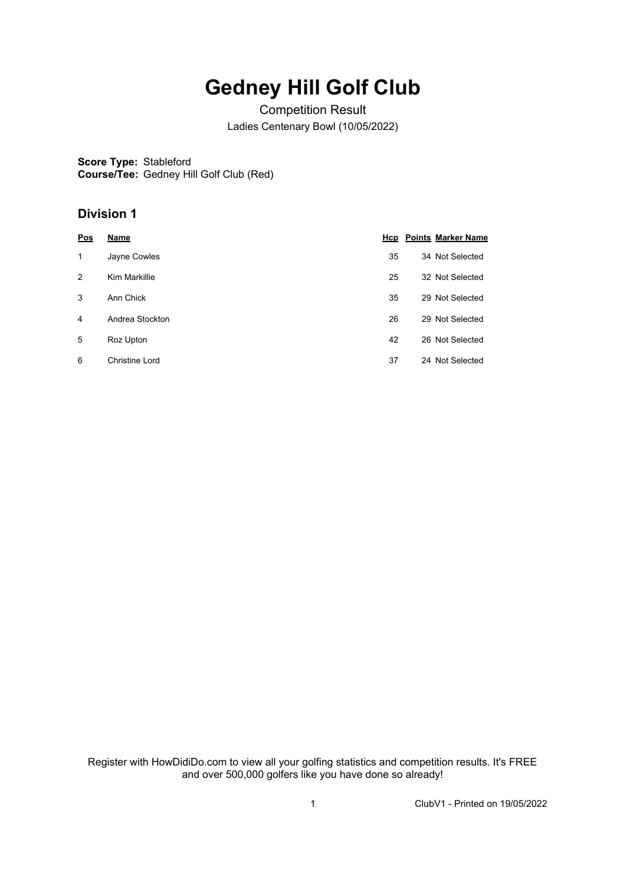## **Gedney Hill Golf Club**

Competition Result Ladies Centenary Bowl (10/05/2022)

**Score Type:** Stableford **Course/Tee:** Gedney Hill Golf Club (Red)

## **Division 1**

| <u>Pos</u> | Name                  |    | <b>Hcp</b> Points Marker Name |
|------------|-----------------------|----|-------------------------------|
| 1          | Jayne Cowles          | 35 | 34 Not Selected               |
| 2          | Kim Markillie         | 25 | 32 Not Selected               |
| 3          | Ann Chick             | 35 | 29 Not Selected               |
| 4          | Andrea Stockton       | 26 | 29 Not Selected               |
| 5          | Roz Upton             | 42 | 26 Not Selected               |
| 6          | <b>Christine Lord</b> | 37 | 24 Not Selected               |

Register with HowDidiDo.com to view all your golfing statistics and competition results. It's FREE and over 500,000 golfers like you have done so already!